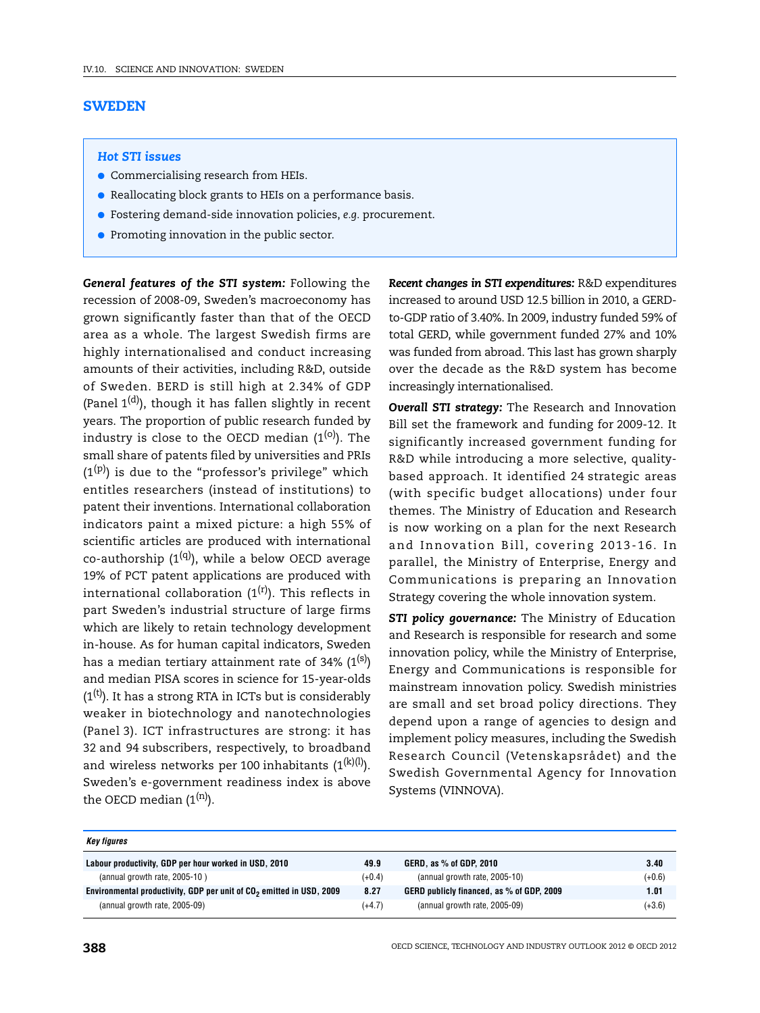## **SWEDEN**

## *Hot STI issues*

- Commercialising research from HEIs.
- Reallocating block grants to HEIs on a performance basis.
- Fostering demand-side innovation policies, *e.g.* procurement.
- Promoting innovation in the public sector.

*General features of the STI system:* Following the recession of 2008-09, Sweden's macroeconomy has grown significantly faster than that of the OECD area as a whole. The largest Swedish firms are highly internationalised and conduct increasing amounts of their activities, including R&D, outside of Sweden. BERD is still high at 2.34% of GDP (Panel  $1^{(d)}$ ), though it has fallen slightly in recent years. The proportion of public research funded by industry is close to the OECD median  $(1^{(0)})$ . The small share of patents filed by universities and PRIs  $(1^{(p)})$  is due to the "professor's privilege" which entitles researchers (instead of institutions) to patent their inventions. International collaboration indicators paint a mixed picture: a high 55% of scientific articles are produced with international co-authorship  $(1^{(q)})$ , while a below OECD average 19% of PCT patent applications are produced with international collaboration  $(1^{(r)})$ . This reflects in part Sweden's industrial structure of large firms which are likely to retain technology development in-house. As for human capital indicators, Sweden has a median tertiary attainment rate of 34%  $(1^{(s)})$ and median PISA scores in science for 15-year-olds  $(1<sup>(t)</sup>)$ . It has a strong RTA in ICTs but is considerably weaker in biotechnology and nanotechnologies (Panel 3). ICT infrastructures are strong: it has 32 and 94 subscribers, respectively, to broadband and wireless networks per 100 inhabitants  $(1^{(k)(l)})$ . Sweden's e-government readiness index is above the OECD median  $(1^{(n)})$ .

*Recent changes in STI expenditures:* R&D expenditures increased to around USD 12.5 billion in 2010, a GERDto-GDP ratio of 3.40%. In 2009, industry funded 59% of total GERD, while government funded 27% and 10% was funded from abroad. This last has grown sharply over the decade as the R&D system has become increasingly internationalised.

*Overall STI strategy:* The Research and Innovation Bill set the framework and funding for 2009-12. It significantly increased government funding for R&D while introducing a more selective, qualitybased approach. It identified 24 strategic areas (with specific budget allocations) under four themes. The Ministry of Education and Research is now working on a plan for the next Research and Innovation Bill, covering 2013-16. In parallel, the Ministry of Enterprise, Energy and Communications is preparing an Innovation Strategy covering the whole innovation system.

*STI policy governance:* The Ministry of Education and Research is responsible for research and some innovation policy, while the Ministry of Enterprise, Energy and Communications is responsible for mainstream innovation policy. Swedish ministries are small and set broad policy directions. They depend upon a range of agencies to design and implement policy measures, including the Swedish Research Council (Vetenskapsrådet) and the Swedish Governmental Agency for Innovation Systems (VINNOVA).

| Key figures                                                                      |          |                                           |          |
|----------------------------------------------------------------------------------|----------|-------------------------------------------|----------|
| Labour productivity, GDP per hour worked in USD, 2010                            | 49.9     | GERD, as % of GDP, 2010                   | 3.40     |
| (annual growth rate, 2005-10)                                                    | $(+0.4)$ | (annual growth rate, 2005-10)             | $(+0.6)$ |
| Environmental productivity, GDP per unit of CO <sub>2</sub> emitted in USD, 2009 | 8.27     | GERD publicly financed, as % of GDP, 2009 | 1.01     |
| (annual growth rate, 2005-09)                                                    | $(+4.7)$ | (annual growth rate, 2005-09)             | $(+3.6)$ |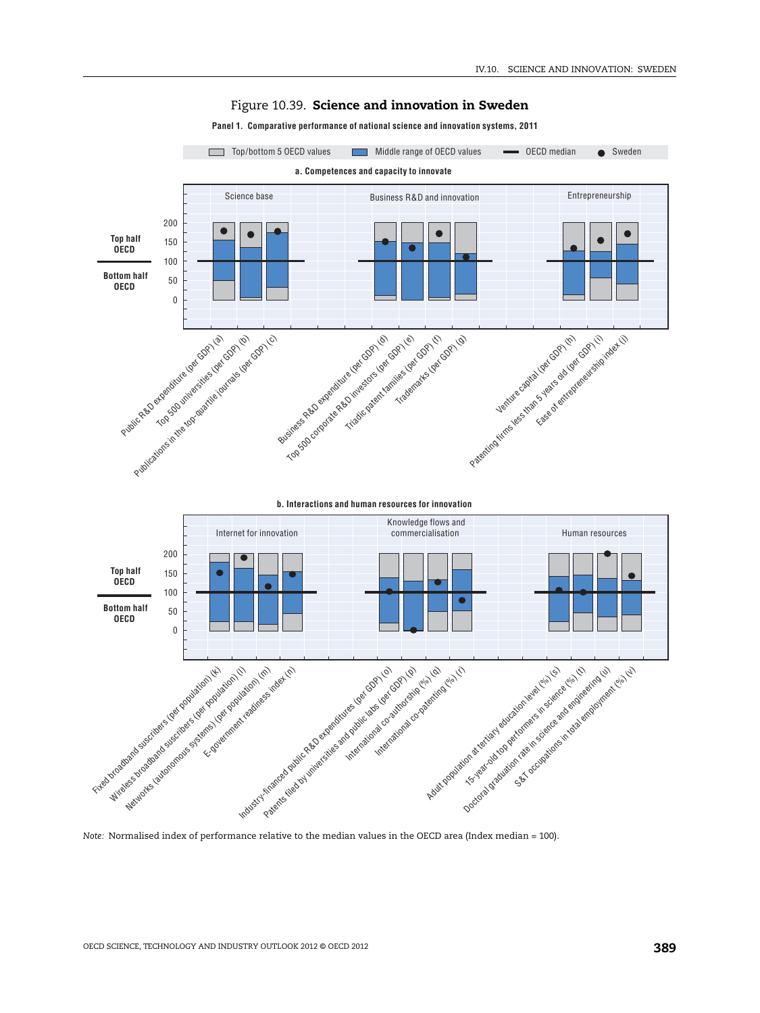

## Figure 10.39. **Science and innovation in Sweden**

**Panel 1. Comparative performance of national science and innovation systems, 2011**

*Note:* Normalised index of performance relative to the median values in the OECD area (Index median = 100).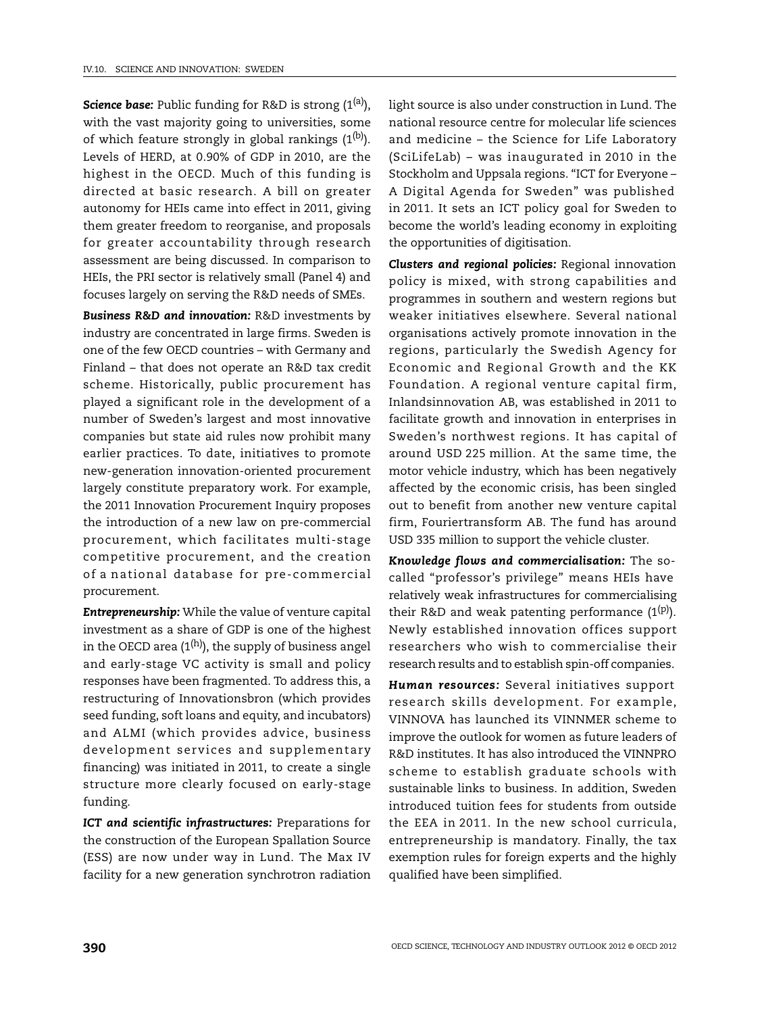**Science base:** Public funding for R&D is strong (1<sup>(a)</sup>), with the vast majority going to universities, some of which feature strongly in global rankings  $(1^{(b)})$ . Levels of HERD, at 0.90% of GDP in 2010, are the highest in the OECD. Much of this funding is directed at basic research. A bill on greater autonomy for HEIs came into effect in 2011, giving them greater freedom to reorganise, and proposals for greater accountability through research assessment are being discussed. In comparison to HEIs, the PRI sector is relatively small (Panel 4) and focuses largely on serving the R&D needs of SMEs.

*Business R&D and innovation:* R&D investments by industry are concentrated in large firms. Sweden is one of the few OECD countries – with Germany and Finland – that does not operate an R&D tax credit scheme. Historically, public procurement has played a significant role in the development of a number of Sweden's largest and most innovative companies but state aid rules now prohibit many earlier practices. To date, initiatives to promote new-generation innovation-oriented procurement largely constitute preparatory work. For example, the 2011 Innovation Procurement Inquiry proposes the introduction of a new law on pre-commercial procurement, which facilitates multi-stage competitive procurement, and the creation of a national database for pre-commercial procurement.

*Entrepreneurship:* While the value of venture capital investment as a share of GDP is one of the highest in the OECD area  $(1^{(h)})$ , the supply of business angel and early-stage VC activity is small and policy responses have been fragmented. To address this, a restructuring of Innovationsbron (which provides seed funding, soft loans and equity, and incubators) and ALMI (which provides advice, business development services and supplementary financing) was initiated in 2011, to create a single structure more clearly focused on early-stage funding.

*ICT and scientific infrastructures:* Preparations for the construction of the European Spallation Source (ESS) are now under way in Lund. The Max IV facility for a new generation synchrotron radiation light source is also under construction in Lund. The national resource centre for molecular life sciences and medicine – the Science for Life Laboratory (SciLifeLab) – was inaugurated in 2010 in the Stockholm and Uppsala regions. "ICT for Everyone – A Digital Agenda for Sweden" was published in 2011. It sets an ICT policy goal for Sweden to become the world's leading economy in exploiting the opportunities of digitisation.

*Clusters and regional policies:* Regional innovation policy is mixed, with strong capabilities and programmes in southern and western regions but weaker initiatives elsewhere. Several national organisations actively promote innovation in the regions, particularly the Swedish Agency for Economic and Regional Growth and the KK Foundation. A regional venture capital firm, Inlandsinnovation AB, was established in 2011 to facilitate growth and innovation in enterprises in Sweden's northwest regions. It has capital of around USD 225 million. At the same time, the motor vehicle industry, which has been negatively affected by the economic crisis, has been singled out to benefit from another new venture capital firm, Fouriertransform AB. The fund has around USD 335 million to support the vehicle cluster.

*Knowledge flows and commercialisation:* The socalled "professor's privilege" means HEIs have relatively weak infrastructures for commercialising their R&D and weak patenting performance  $(1^{(p)})$ . Newly established innovation offices support researchers who wish to commercialise their research results and to establish spin-off companies.

*Human resources:* Several initiatives support research skills development. For example, VINNOVA has launched its VINNMER scheme to improve the outlook for women as future leaders of R&D institutes. It has also introduced the VINNPRO scheme to establish graduate schools with sustainable links to business. In addition, Sweden introduced tuition fees for students from outside the EEA in 2011. In the new school curricula, entrepreneurship is mandatory. Finally, the tax exemption rules for foreign experts and the highly qualified have been simplified.